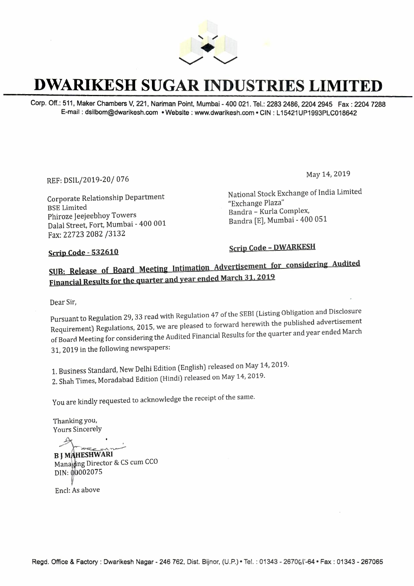

### **DWARIKESH SUGAR INDUSTRIES LIMITED**

Corp. Off.: 511, Maker Chambers V, 221, Nariman Point, Mumbai-400 021. Tel.: 2283 2486, 2204 2945 Fax: 2204 7288 E-mail : dsilbom@dwarikesh.com • **Website :** www.dwarikesh.com • **CIN :** L 15421UP1993PLC018642

REF: DSIL/2019-20/ 076

Corporate Relationship Department BSE Limited Phiroze Jeejeebhoy Towers Dalal Street, Fort, Mumbai - 400 001 Fax: 22723 2082 /3132

May 14, 2019

National Stock Exchange of India Limited "Exchange Plaza" Bandra - Kurla Complex, Bandra [E], Mumbai- 400 051

#### **Scrip Code - 532610**

**Scrip Code - DWARKESH** 

#### **<u>SUB: Release of Board Meeting Intimation Advertisement for considering Audited</u> Financial Results for the quarter and year ended March 31, 2019**

Dear Sir,

Pursuant to Regulation 29, 33 read with Regulation 47 of the SEBI (Listing Obligation and Disclosure Requirement) Regulations, 2015, we are pleased to forward herewith the published advertisement of Board Meeting for considering the Audited Financial Results for the quarter and year ended March 31, 2019 in the following newspapers:

1. Business Standard, New Delhi Edition (English) released on May 14, 2019.

2. Shah Times, Moradabad Edition (Hindi) released on May 14, 2019.

You are kindly requested to acknowledge the receipt of the same.

Thanking you, Yours Sincerely

 $\sim$ **B J MAHESHWARI** 

Managing Director & CS cum CCO DIN: 00002075

Encl: As above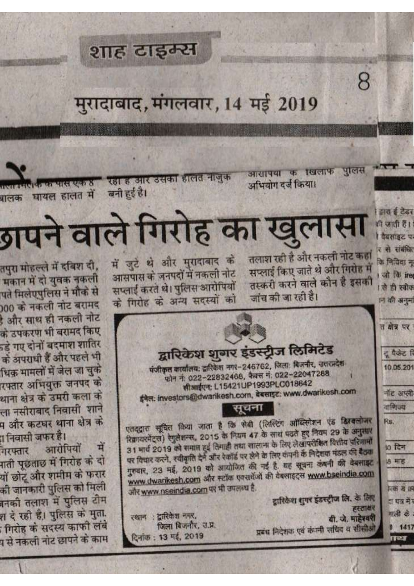## शाह टाइम्स

# मुरादाबाद, मंगलवार, 14 मई 2019

आसापया के खिलाफ पुलिस अभियोग दर्ज किया।

8

झाय ई टेडर ही जाती हैं। वैबसाइट पर र से संबंधित

कि निविद्या मु

on for ire

! से ही स्वीक

ान की अनुमा

त क्षेत्र पर

दू पैकेट रि

10.05.201

नॉट अप्ली

বাণিত্ব

**so दिन** 

18 开区

**Red 8 IR** 

दा पत्र में र

गाली के

 $9 1417$ 

Ter

Rs.

रहा है और उसका हालत नाजुक बनी हुई है।

INTERNATIONAL CONTRACTORY बालक घायल हालत में

# गपने वाले गिरोह का खुलासा

तलाश रही है और नकली नोट कहा सप्लाई किए जाते थे और गिरोह में तस्करी करने वाले कौन है इसकी जांच की जा रही है।

में जुटे थे और मुरादाबाद के आसपास के जनपदों में नकली नोट सप्लाई करते थे। पुलिस आरोपियों के गिरोह के अन्य सदस्यों को

रथान : द्वारिकेश नगर,

दिनांक: 13 मई, 2019

जिला बिजनौर, उ.प्र.

द्वारिकेश शुगर इंडस्ट्रीज लिमिटेड पंजीकृत कार्यालय: द्रारिकेश नगर-246762, जिला: बिजनौर, उत्तरप्रदेश फोन नं: 022-22832468, फैक्स नं: 022-22047288 सीआईएन: L15421UP1993PLC018642 ईमेल: investors@dwarikesh.com, बेबसाइट: www.dwarikesh.com सूचना एतदद्वारा सूचित किया जाता है कि सेबी (लिस्टिंग ऑब्लिगेशन एंड डिस्वलोजर रिक्रायरमेंट्स) रेगुलेशन्स, 2015 के नियम 47 के साथ पढते हुए नियम 29 के अनुसार 31 मार्च 2019 को समाप्त हुई तिमाही तथा सालाना के लिए लेखापरीक्षित थितीय परिणामों पर विचार करने, स्वीकृति देने और रेकॉर्ड पर लेने के लिए कंपनी के निदेशक मंडल की देखा

गुरुवार, 23 मई, 2019 को आयोजित की गई है. यह सूचना कंबनी की देवनाइट www.dwarikesh.com और नटॉक एक्सवेंजों की वेबसाइट्स www.bseindia.com और www.nseindia.com पर भी उपलब्ध है. द्वारिकेश शुगर इंडस्ट्रीज लि. के लिए

हरताक्षर यी. जे. माहेश्वरी प्रबंध निदेशक एवं कंपनी सधिव व सीसीओ

तपुरा मोहल्ले में दबिश दी, मकान में दो युवक नकली पते मिलेएपुलिस ने मौके से 000 को नकली नोट बरामद डे और साथ ही नकली नोट के उपकरण भी बरामद किए र्ड गए दोनों बदमाश शातिर के अपराधी हैं और पहले भी धिक मामलों में जेल जा चुके रफ्तार अभियुक्त जनपद को थाना क्षेत्र के उमरी कला के ला नसीराबाद निवासी शाने प और कटघर थाना क्षेत्र क ा निवासी जफर है।

आरोपियों में गरफ्तार गती पूछताछ में गिरोह के दो यों छोटू और शमीम के फरार की जानकारी पुलिस को मिली बनकी तलाश में पुलिस टीम श दे रही है। पुलिस के मुता. ागिरोह को सदस्य काफी लंबे प से नकली नोट छापने के काम